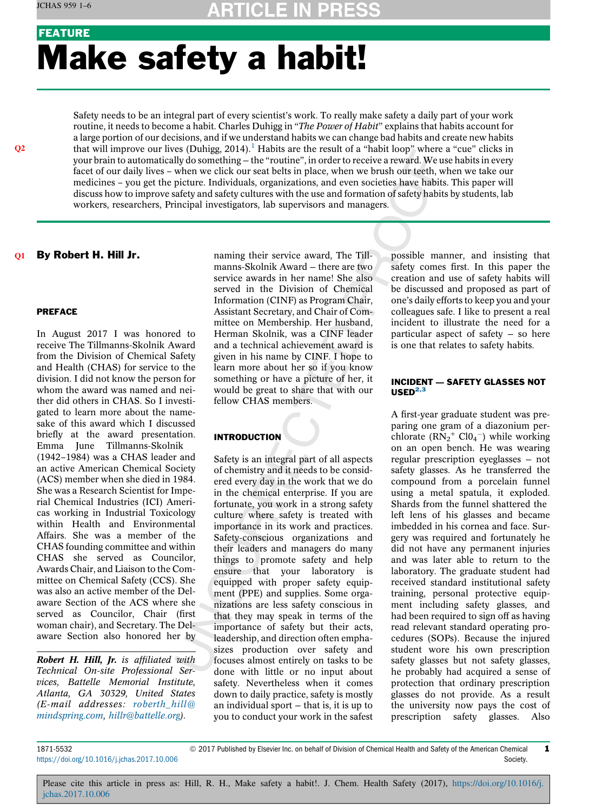# FEATURE Make safety a habit!

Safety needs to be an integral part of every scientist's work. To really make safety a daily part of your work routine, it needs to become a habit. Charles Duhigg in "The Power of Habit" explains that habits account for a large portion of our decisions, and if we understand habits we can change bad habits and create new habits Q2 that will improve our lives (Duhigg, 2014).<sup>1</sup> Habits are the result of a "habit loop" where a "cue" clicks in your brain to automatically do something — the "routine", in orderto receive a reward. We use habits in every facet of our daily lives – when we click our seat belts in place, when we brush our teeth, when we take our medicines – you get the picture. Individuals, organizations, and even societies have habits. This paper will discuss how to improve safety and safety cultures with the use and formation of safety habits by students, lab workers, researchers, Principal investigators, lab supervisors and managers.

### By Robert H. Hill Jr.

#### PREFACE

In August 2017 I was honored to receive The Tillmanns-Skolnik Award from the Division of Chemical Safety and Health (CHAS) for service to the division. I did not know the person for whom the award was named and neither did others in CHAS. So I investigated to learn more about the namesake of this award which I discussed briefly at the award presentation. Emma June Tillmanns-Skolnik (1942–1984) was a CHAS leader and an active American Chemical Society (ACS) member when she died in 1984. She was a Research Scientist for Imperial Chemical Industries (ICI) Americas working in Industrial Toxicology within Health and Environmental Affairs. She was a member of the CHAS founding committee and within CHAS she served as Councilor, Awards Chair, and Liaison to the Committee on Chemical Safety (CCS). She was also an active member of the Delaware Section of the ACS where she served as Councilor, Chair (first woman chair), and Secretary. The Delaware Section also honored her by

Robert H. Hill, Jr. is affiliated with Technical On-site Professional Services, Battelle Memorial Institute, Atlanta, GA 30329, United States (E-mail addresses: [roberth\\_hill@](mailto:roberth_hill@mindspring.com) mindspring.com, [hillr@battelle.org\).](mailto:roberth_hill@mindspring.com)

naming their service award, The Tillmanns-Skolnik Award — there are two service awards in her name! She also served in the Division of Chemical Information (CINF) as Program Chair, Assistant Secretary, and Chair of Committee on Membership. Her husband, Herman Skolnik, was a CINF leader and a technical achievement award is given in his name by CINF. I hope to learn more about her so if you know something or have a picture of her, it would be great to share that with our fellow CHAS members.

### INTRODUCTION

Safety is an integral part of all aspects of chemistry and it needs to be considered every day in the work that we do in the chemical enterprise. If you are fortunate, you work in a strong safety culture where safety is treated with importance in its work and practices. Safety-conscious organizations and their leaders and managers do many things to promote safety and help ensure that your laboratory is equipped with proper safety equipment (PPE) and supplies. Some organizations are less safety conscious in that they may speak in terms of the importance of safety but their acts, leadership, and direction often emphasizes production over safety and focuses almost entirely on tasks to be done with little or no input about safety. Nevertheless when it comes down to daily practice, safety is mostly an individual sport — that is, it is up to you to conduct your work in the safest

possible manner, and insisting that safety comes first. In this paper the creation and use of safety habits will be discussed and proposed as part of one's daily efforts to keep you and your colleagues safe. I like to present a real incident to illustrate the need for a particular aspect of safety — so here is one that relates to safety habits.

#### INCIDENT — SAFETY GLASSES NOT  $USED<sup>2,3</sup>$

A first-year graduate student was preparing one gram of a diazonium perchlorate  $(RN_2$ <sup>+</sup> Cl0<sub>4</sub><sup>-</sup>) while working on an open bench. He was wearing regular prescription eyeglasses — not safety glasses. As he transferred the compound from a porcelain funnel using a metal spatula, it exploded. Shards from the funnel shattered the left lens of his glasses and became imbedded in his cornea and face. Surgery was required and fortunately he did not have any permanent injuries and was later able to return to the laboratory. The graduate student had received standard institutional safety training, personal protective equipment including safety glasses, and had been required to sign off as having read relevant standard operating procedures (SOPs). Because the injured student wore his own prescription safety glasses but not safety glasses, he probably had acquired a sense of protection that ordinary prescription glasses do not provide. As a result the university now pays the cost of prescription safety glasses. Also

1871-5532 <https://doi.org/10.1016/j.jchas.2017.10.006>

ã 2017 Published by Elsevier Inc. on behalf of Division of Chemical Health and Safety of the American Chemical Society. 1

Please cite this article in press as: Hill, R. H., Make safety a habit!. J. Chem. Health Safety (2017), [https://doi.org/10.1016/j.](https://doi.org/10.1016/j.jchas.2017.10.006) [jchas.2017.10.006](https://doi.org/10.1016/j.jchas.2017.10.006)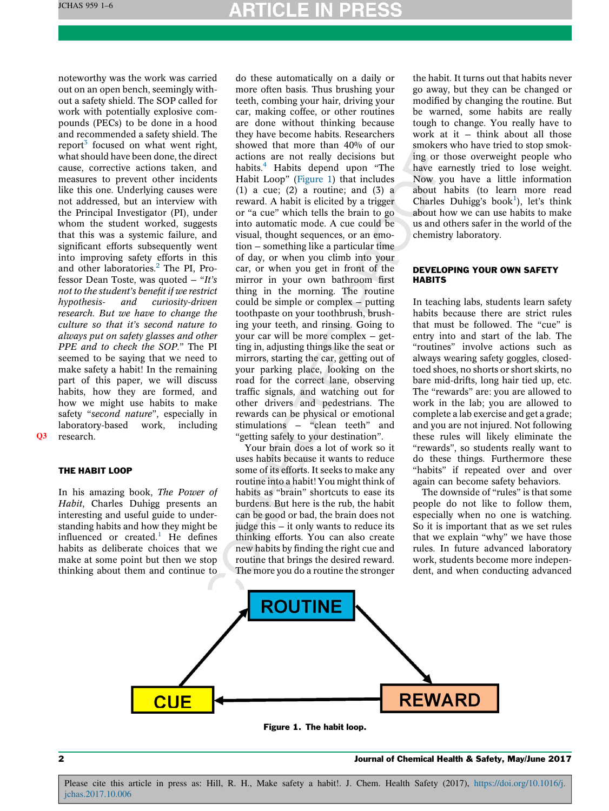### TICLE IN

noteworthy was the work was carried out on an open bench, seemingly without a safety shield. The SOP called for work with potentially explosive compounds (PECs) to be done in a hood and recommended a safety shield. The report $3$  focused on what went right, what should have been done, the direct cause, corrective actions taken, and measures to prevent other incidents like this one. Underlying causes were not addressed, but an interview with the Principal Investigator (PI), under whom the student worked, suggests that this was a systemic failure, and significant efforts subsequently went into improving safety efforts in this and other laboratories.<sup>2</sup> The PI, Professor Dean Toste, was quoted — "It's not to the student's benefit if we restrict hypothesis- and curiosity-driven research. But we have to change the culture so that it's second nature to always put on safety glasses and other PPE and to check the SOP." The PI seemed to be saying that we need to make safety a habit! In the remaining part of this paper, we will discuss habits, how they are formed, and how we might use habits to make safety "second nature", especially in laboratory-based work, including Q3 research.

#### THE HABIT LOOP

In his amazing book, The Power of Habit, Charles Duhigg presents an interesting and useful guide to understanding habits and how they might be influenced or created.<sup>1</sup> He defines habits as deliberate choices that we make at some point but then we stop thinking about them and continue to do these automatically on a daily or more often basis. Thus brushing your teeth, combing your hair, driving your car, making coffee, or other routines are done without thinking because they have become habits. Researchers showed that more than 40% of our actions are not really decisions but habits.<sup>4</sup> Habits depend upon "The Habit Loop" (Figure 1) that includes (1) a cue; (2) a routine; and  $(3)$  a reward. A habit is elicited by a trigger or "a cue" which tells the brain to go into automatic mode. A cue could be visual, thought sequences, or an emotion — something like a particular time of day, or when you climb into your car, or when you get in front of the mirror in your own bathroom first thing in the morning. The routine could be simple or complex — putting toothpaste on your toothbrush, brushing your teeth, and rinsing. Going to your car will be more complex — getting in, adjusting things like the seat or mirrors, starting the car, getting out of your parking place, looking on the road for the correct lane, observing traffic signals, and watching out for other drivers and pedestrians. The rewards can be physical or emotional stimulations — "clean teeth" and "getting safely to your destination".

Your brain does a lot of work so it uses habits because it wants to reduce some of its efforts. It seeks to make any routine into a habit! You might think of habits as "brain" shortcuts to ease its burdens. But here is the rub, the habit can be good or bad, the brain does not judge this — it only wants to reduce its thinking efforts. You can also create new habits by finding the right cue and routine that brings the desired reward. The more you do a routine the stronger

the habit. It turns out that habits never go away, but they can be changed or modified by changing the routine. But be warned, some habits are really tough to change. You really have to work at it  $-$  think about all those smokers who have tried to stop smoking or those overweight people who have earnestly tried to lose weight. Now you have a little information about habits (to learn more read Charles Duhigg's book<sup>1</sup>), let's think about how we can use habits to make us and others safer in the world of the chemistry laboratory.

#### DEVELOPING YOUR OWN SAFETY HABITS

In teaching labs, students learn safety habits because there are strict rules that must be followed. The "cue" is entry into and start of the lab. The "routines" involve actions such as always wearing safety goggles, closedtoed shoes, no shorts or short skirts, no bare mid-drifts, long hair tied up, etc. The "rewards" are: you are allowed to work in the lab; you are allowed to complete a lab exercise and get a grade; and you are not injured. Not following these rules will likely eliminate the "rewards", so students really want to do these things. Furthermore these "habits" if repeated over and over again can become safety behaviors.

The downside of "rules" is that some people do not like to follow them, especially when no one is watching. So it is important that as we set rules that we explain "why" we have those rules. In future advanced laboratory work, students become more independent, and when conducting advanced



Figure 1. The habit loop.

2 Journal of Chemical Health & Safety, May/June 2017

Please cite this article in press as: Hill, R. H., Make safety a habit!. J. Chem. Health Safety (2017), [https://doi.org/10.1016/j.](https://doi.org/10.1016/j.jchas.2017.10.006) [jchas.2017.10.006](https://doi.org/10.1016/j.jchas.2017.10.006)